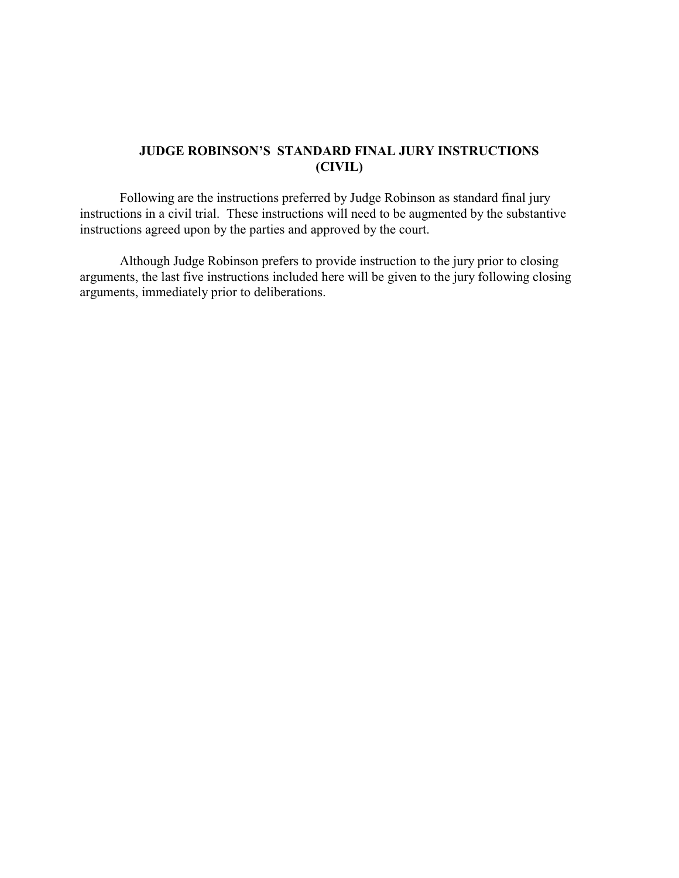### **JUDGE ROBINSON'S STANDARD FINAL JURY INSTRUCTIONS (CIVIL)**

Following are the instructions preferred by Judge Robinson as standard final jury instructions in a civil trial. These instructions will need to be augmented by the substantive instructions agreed upon by the parties and approved by the court.

Although Judge Robinson prefers to provide instruction to the jury prior to closing arguments, the last five instructions included here will be given to the jury following closing arguments, immediately prior to deliberations.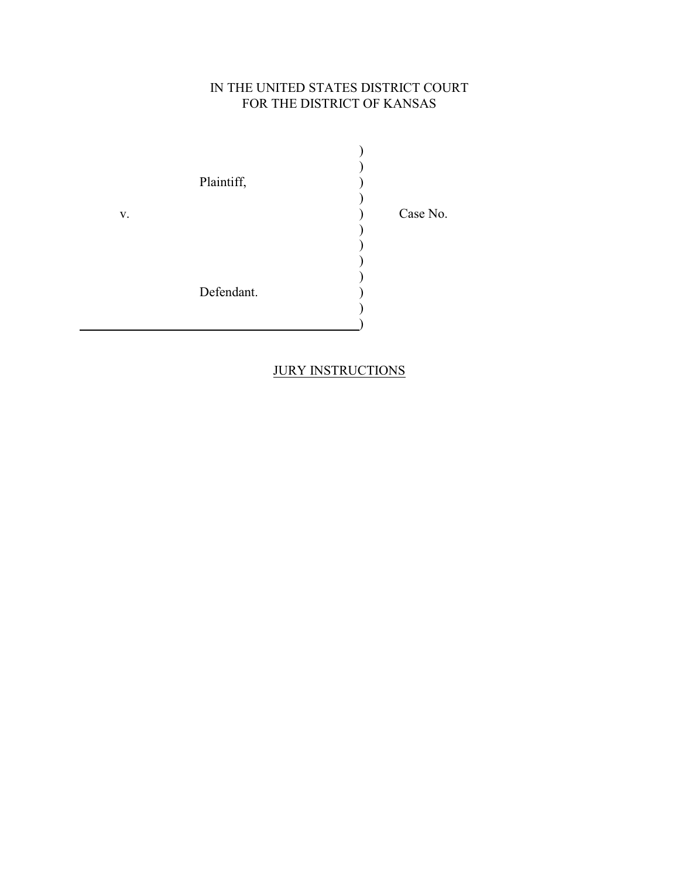## IN THE UNITED STATES DISTRICT COURT FOR THE DISTRICT OF KANSAS

 $\overline{\phantom{a}}$ ) Plaintiff,  $\overrightarrow{ }$ ) v. Case No. ) ) ) ) Defendant. ) )

## **JURY INSTRUCTIONS**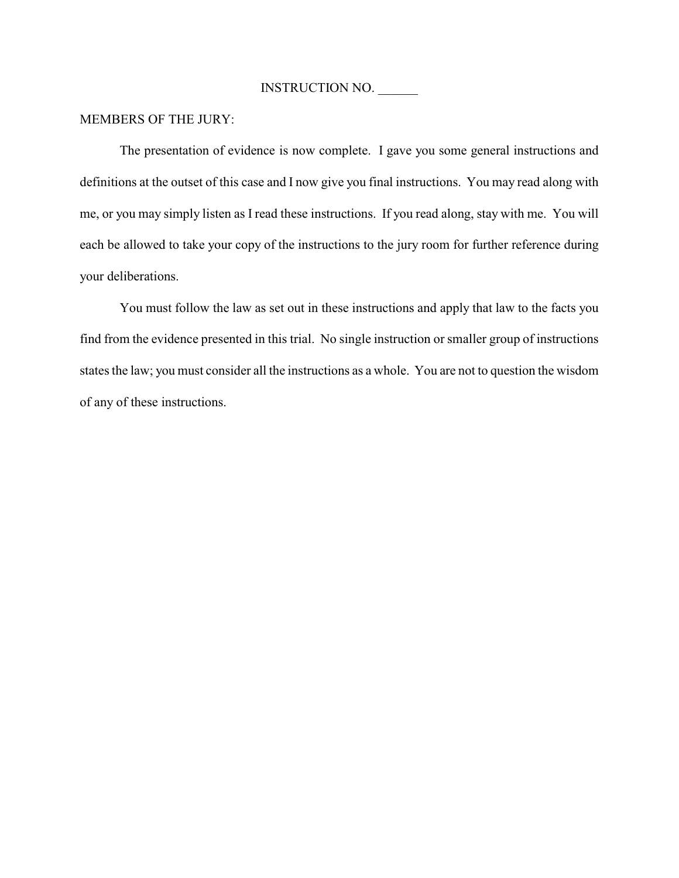### MEMBERS OF THE JURY:

The presentation of evidence is now complete. I gave you some general instructions and definitions at the outset of this case and I now give you final instructions. You may read along with me, or you may simply listen as I read these instructions. If you read along, stay with me. You will each be allowed to take your copy of the instructions to the jury room for further reference during your deliberations.

You must follow the law as set out in these instructions and apply that law to the facts you find from the evidence presented in this trial. No single instruction or smaller group of instructions states the law; you must consider all the instructions as a whole. You are not to question the wisdom of any of these instructions.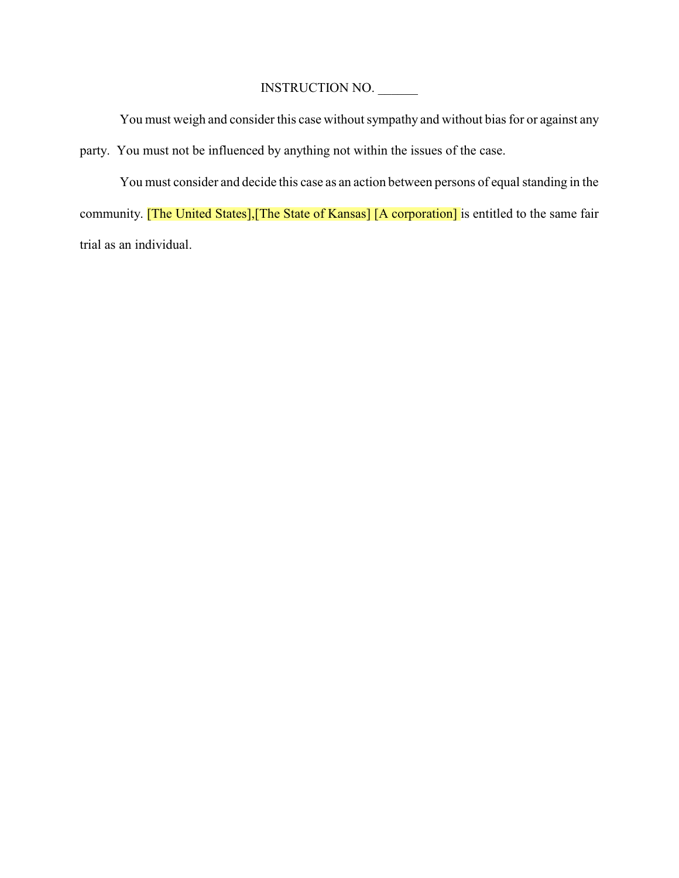You must weigh and consider this case without sympathy and without bias for or against any party. You must not be influenced by anything not within the issues of the case.

You must consider and decide this case as an action between persons of equal standing in the community. [The United States], [The State of Kansas] [A corporation] is entitled to the same fair trial as an individual.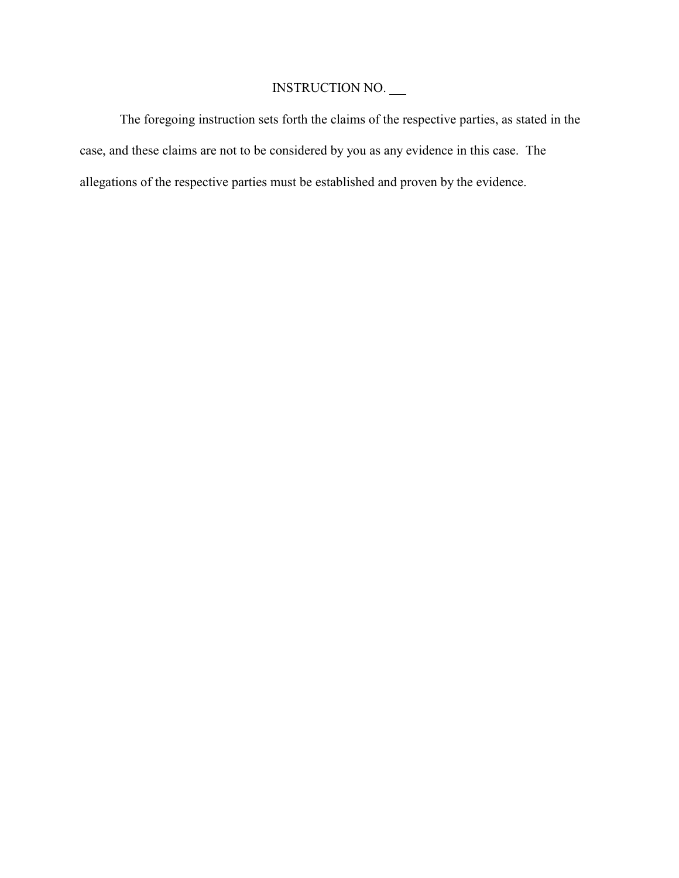The foregoing instruction sets forth the claims of the respective parties, as stated in the case, and these claims are not to be considered by you as any evidence in this case. The allegations of the respective parties must be established and proven by the evidence.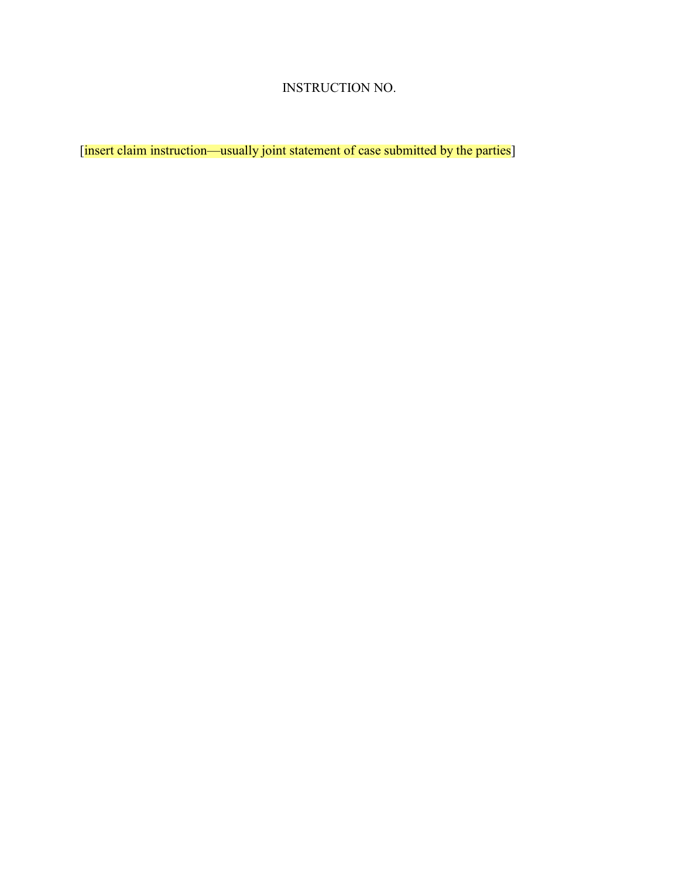[insert claim instruction—usually joint statement of case submitted by the parties]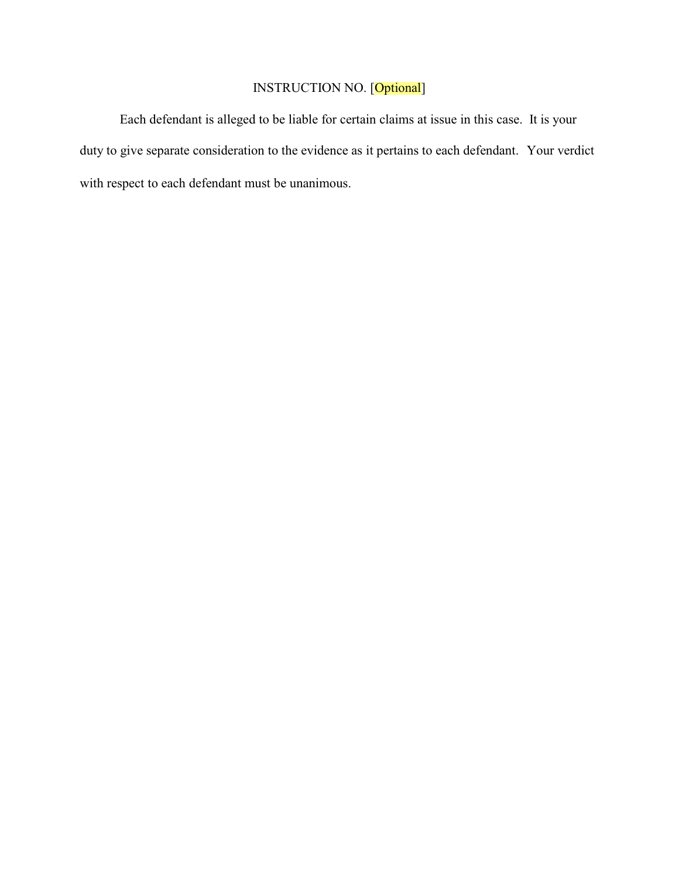# INSTRUCTION NO. [Optional]

Each defendant is alleged to be liable for certain claims at issue in this case. It is your duty to give separate consideration to the evidence as it pertains to each defendant. Your verdict with respect to each defendant must be unanimous.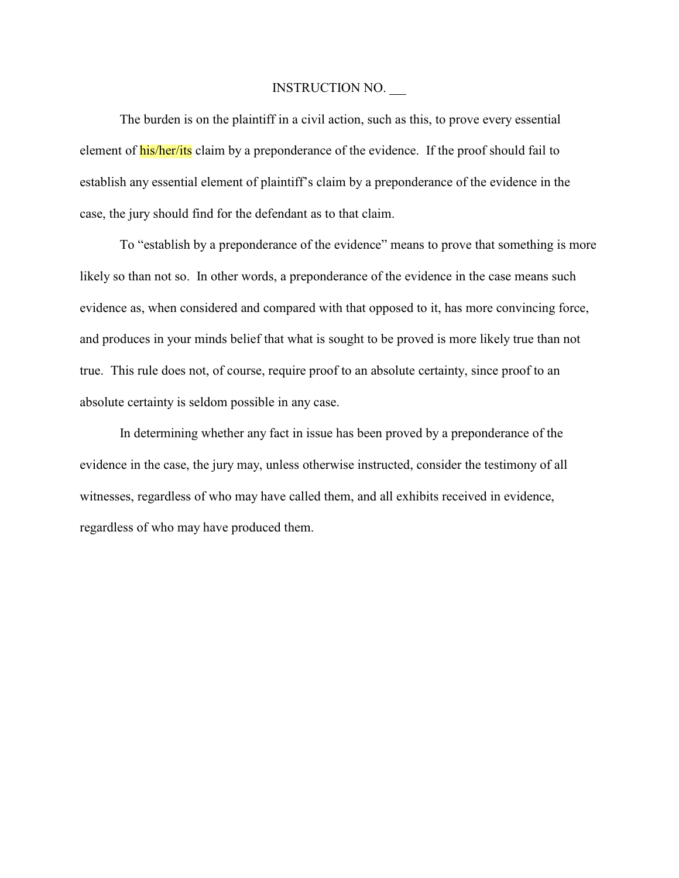The burden is on the plaintiff in a civil action, such as this, to prove every essential element of **his/her/its** claim by a preponderance of the evidence. If the proof should fail to establish any essential element of plaintiff's claim by a preponderance of the evidence in the case, the jury should find for the defendant as to that claim.

To "establish by a preponderance of the evidence" means to prove that something is more likely so than not so. In other words, a preponderance of the evidence in the case means such evidence as, when considered and compared with that opposed to it, has more convincing force, and produces in your minds belief that what is sought to be proved is more likely true than not true. This rule does not, of course, require proof to an absolute certainty, since proof to an absolute certainty is seldom possible in any case.

In determining whether any fact in issue has been proved by a preponderance of the evidence in the case, the jury may, unless otherwise instructed, consider the testimony of all witnesses, regardless of who may have called them, and all exhibits received in evidence, regardless of who may have produced them.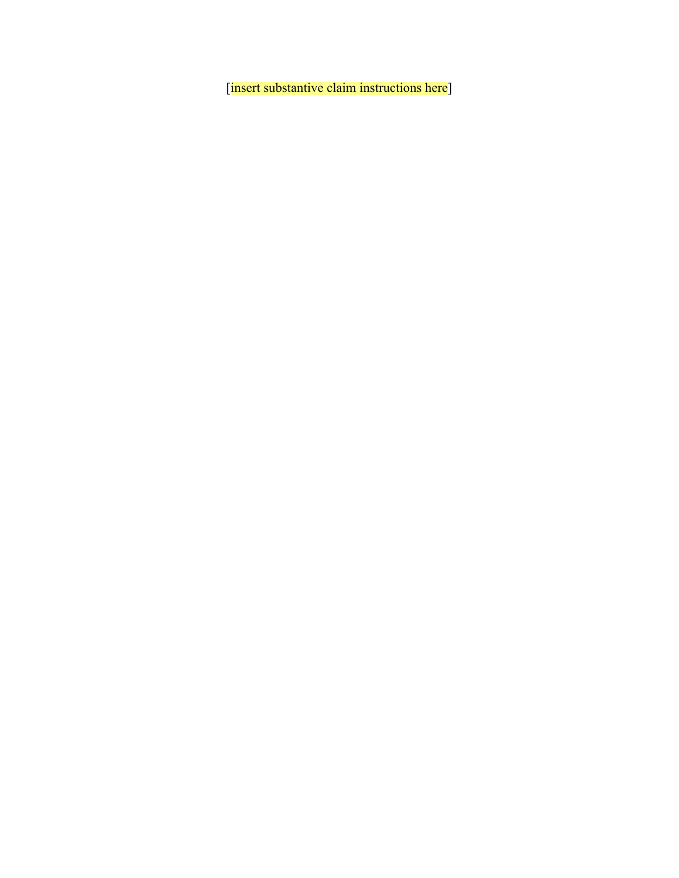[insert substantive claim instructions here]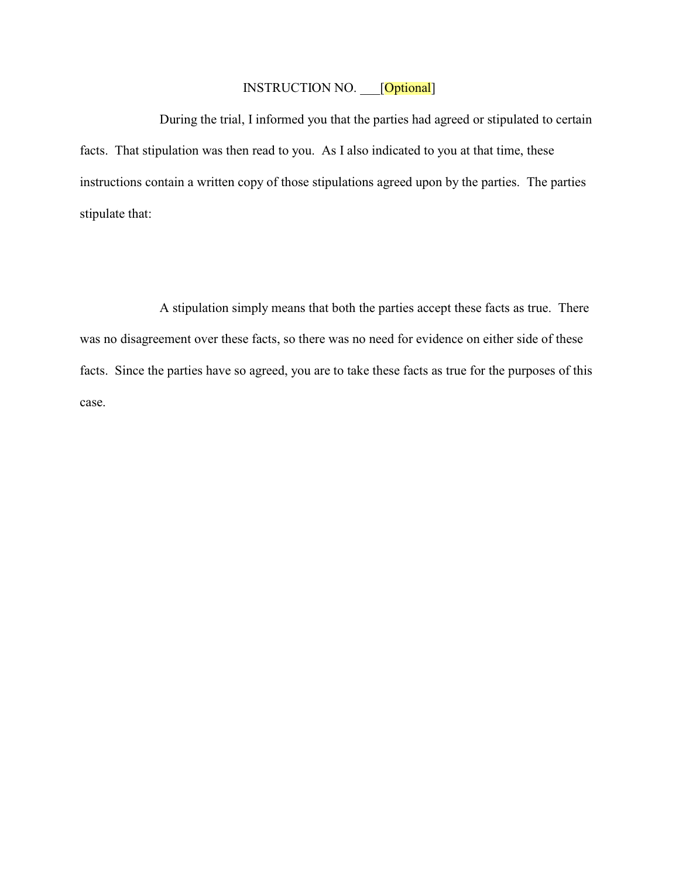### INSTRUCTION NO. \_\_\_[Optional]

During the trial, I informed you that the parties had agreed or stipulated to certain facts. That stipulation was then read to you. As I also indicated to you at that time, these instructions contain a written copy of those stipulations agreed upon by the parties. The parties stipulate that:

A stipulation simply means that both the parties accept these facts as true. There was no disagreement over these facts, so there was no need for evidence on either side of these facts. Since the parties have so agreed, you are to take these facts as true for the purposes of this case.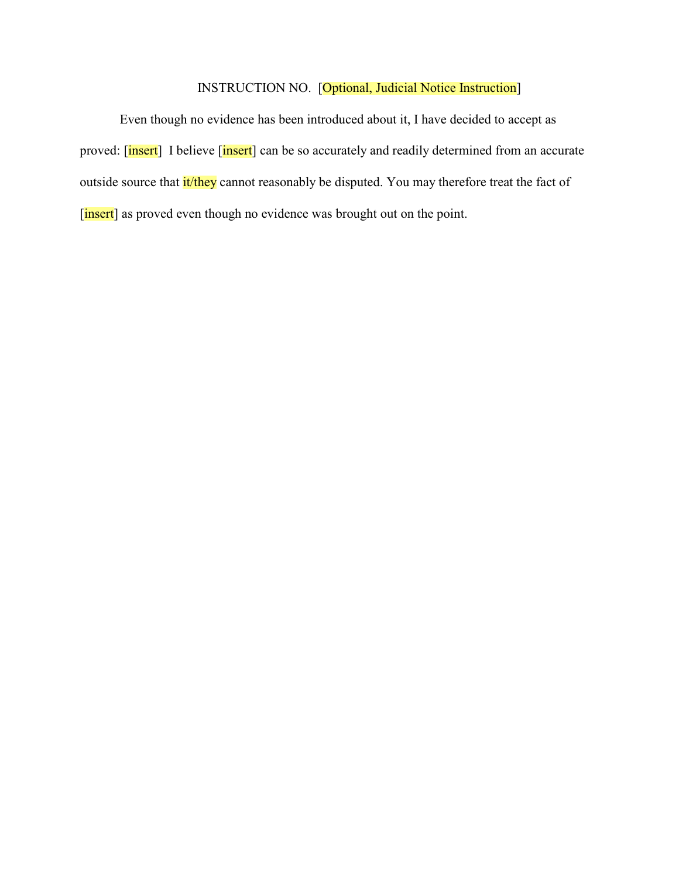### INSTRUCTION NO. [Optional, Judicial Notice Instruction]

Even though no evidence has been introduced about it, I have decided to accept as proved: [insert] I believe [insert] can be so accurately and readily determined from an accurate outside source that it/they cannot reasonably be disputed. You may therefore treat the fact of [insert] as proved even though no evidence was brought out on the point.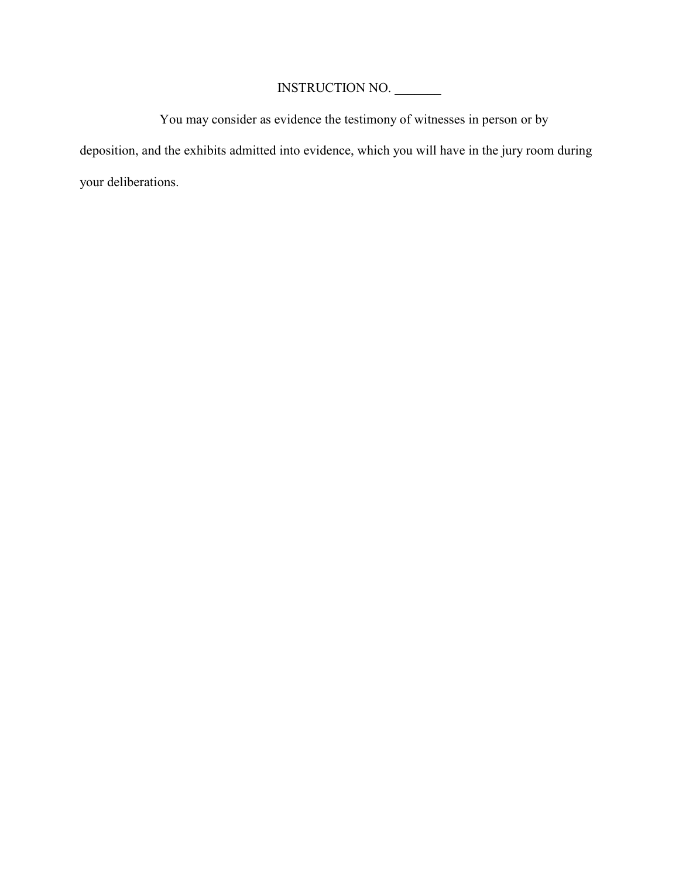You may consider as evidence the testimony of witnesses in person or by deposition, and the exhibits admitted into evidence, which you will have in the jury room during your deliberations.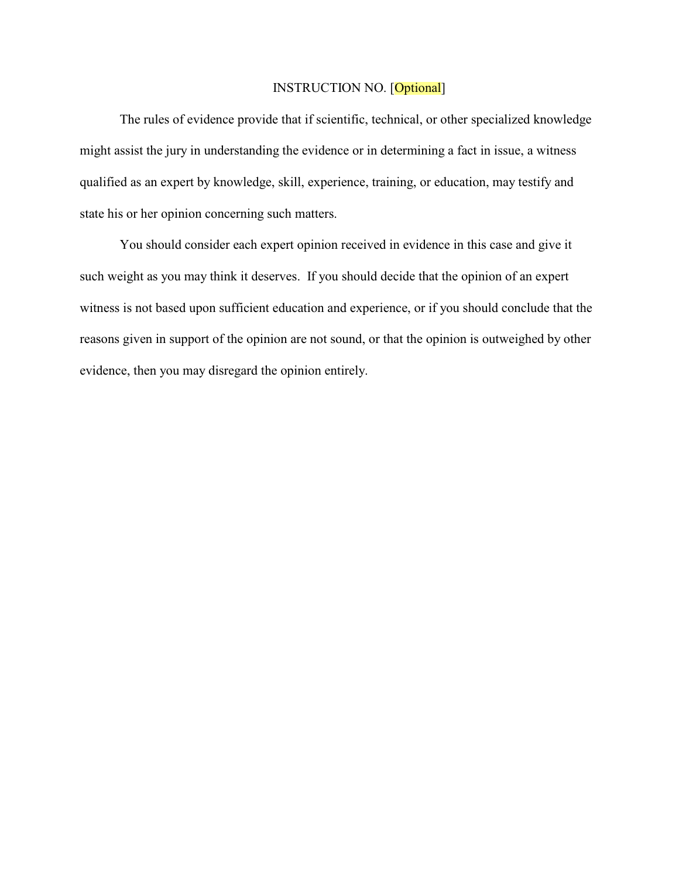### INSTRUCTION NO. [Optional]

The rules of evidence provide that if scientific, technical, or other specialized knowledge might assist the jury in understanding the evidence or in determining a fact in issue, a witness qualified as an expert by knowledge, skill, experience, training, or education, may testify and state his or her opinion concerning such matters.

You should consider each expert opinion received in evidence in this case and give it such weight as you may think it deserves. If you should decide that the opinion of an expert witness is not based upon sufficient education and experience, or if you should conclude that the reasons given in support of the opinion are not sound, or that the opinion is outweighed by other evidence, then you may disregard the opinion entirely.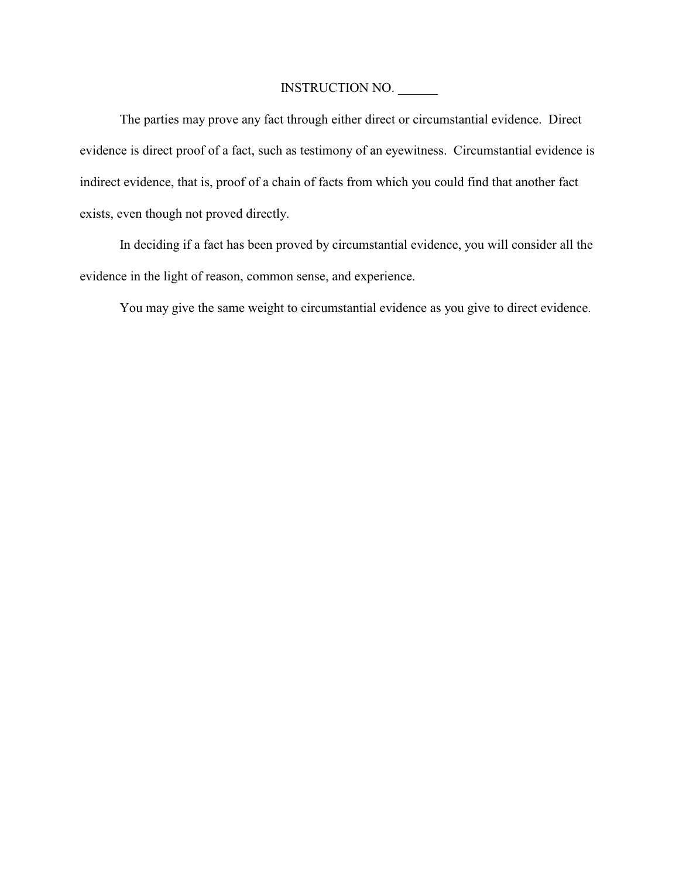The parties may prove any fact through either direct or circumstantial evidence. Direct evidence is direct proof of a fact, such as testimony of an eyewitness. Circumstantial evidence is indirect evidence, that is, proof of a chain of facts from which you could find that another fact exists, even though not proved directly.

In deciding if a fact has been proved by circumstantial evidence, you will consider all the evidence in the light of reason, common sense, and experience.

You may give the same weight to circumstantial evidence as you give to direct evidence.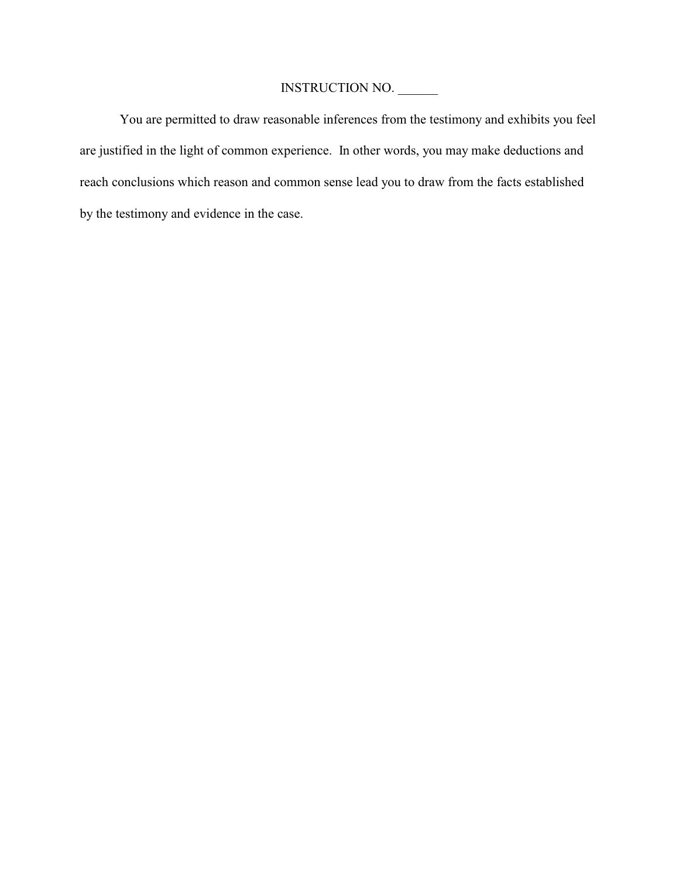You are permitted to draw reasonable inferences from the testimony and exhibits you feel are justified in the light of common experience. In other words, you may make deductions and reach conclusions which reason and common sense lead you to draw from the facts established by the testimony and evidence in the case.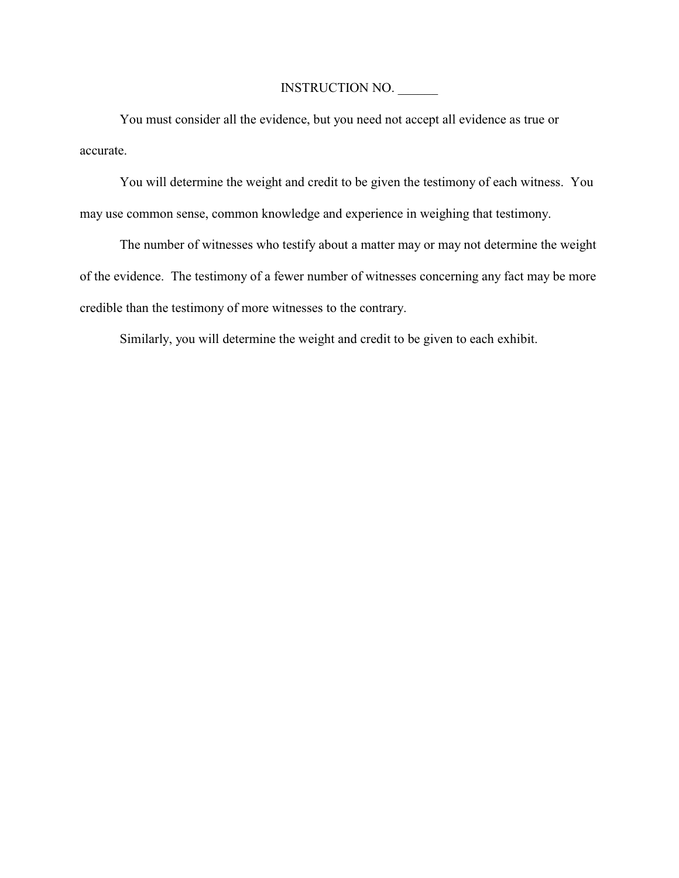You must consider all the evidence, but you need not accept all evidence as true or accurate.

You will determine the weight and credit to be given the testimony of each witness. You may use common sense, common knowledge and experience in weighing that testimony.

The number of witnesses who testify about a matter may or may not determine the weight of the evidence. The testimony of a fewer number of witnesses concerning any fact may be more credible than the testimony of more witnesses to the contrary.

Similarly, you will determine the weight and credit to be given to each exhibit.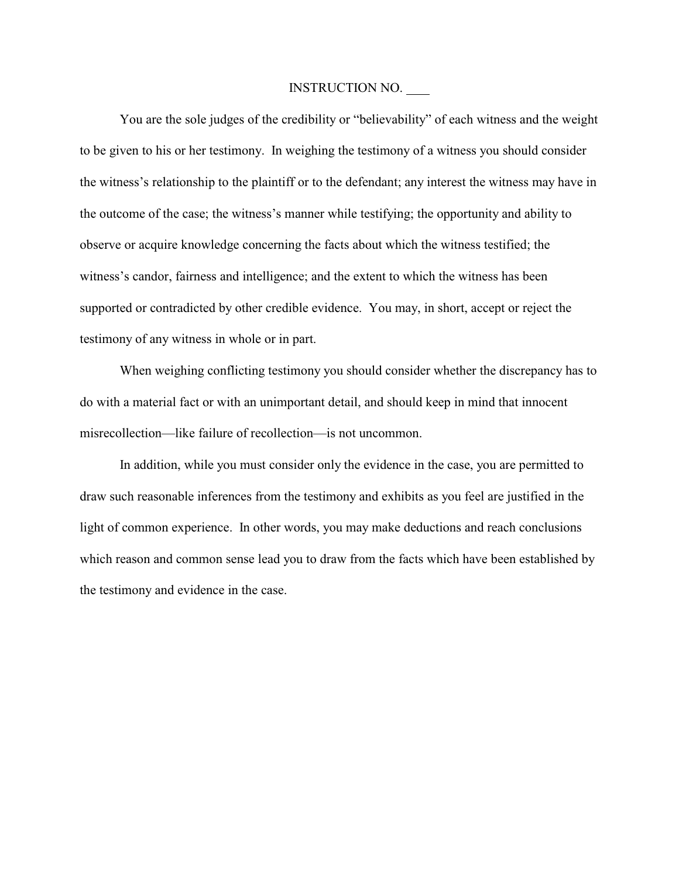You are the sole judges of the credibility or "believability" of each witness and the weight to be given to his or her testimony. In weighing the testimony of a witness you should consider the witness's relationship to the plaintiff or to the defendant; any interest the witness may have in the outcome of the case; the witness's manner while testifying; the opportunity and ability to observe or acquire knowledge concerning the facts about which the witness testified; the witness's candor, fairness and intelligence; and the extent to which the witness has been supported or contradicted by other credible evidence. You may, in short, accept or reject the testimony of any witness in whole or in part.

When weighing conflicting testimony you should consider whether the discrepancy has to do with a material fact or with an unimportant detail, and should keep in mind that innocent misrecollection—like failure of recollection—is not uncommon.

In addition, while you must consider only the evidence in the case, you are permitted to draw such reasonable inferences from the testimony and exhibits as you feel are justified in the light of common experience. In other words, you may make deductions and reach conclusions which reason and common sense lead you to draw from the facts which have been established by the testimony and evidence in the case.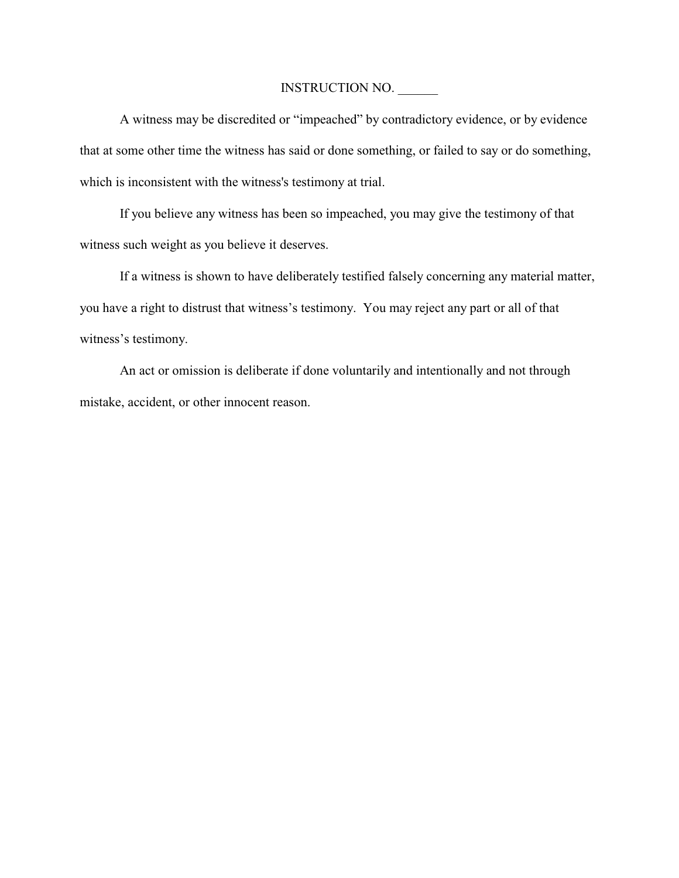A witness may be discredited or "impeached" by contradictory evidence, or by evidence that at some other time the witness has said or done something, or failed to say or do something, which is inconsistent with the witness's testimony at trial.

If you believe any witness has been so impeached, you may give the testimony of that witness such weight as you believe it deserves.

If a witness is shown to have deliberately testified falsely concerning any material matter, you have a right to distrust that witness's testimony. You may reject any part or all of that witness's testimony.

An act or omission is deliberate if done voluntarily and intentionally and not through mistake, accident, or other innocent reason.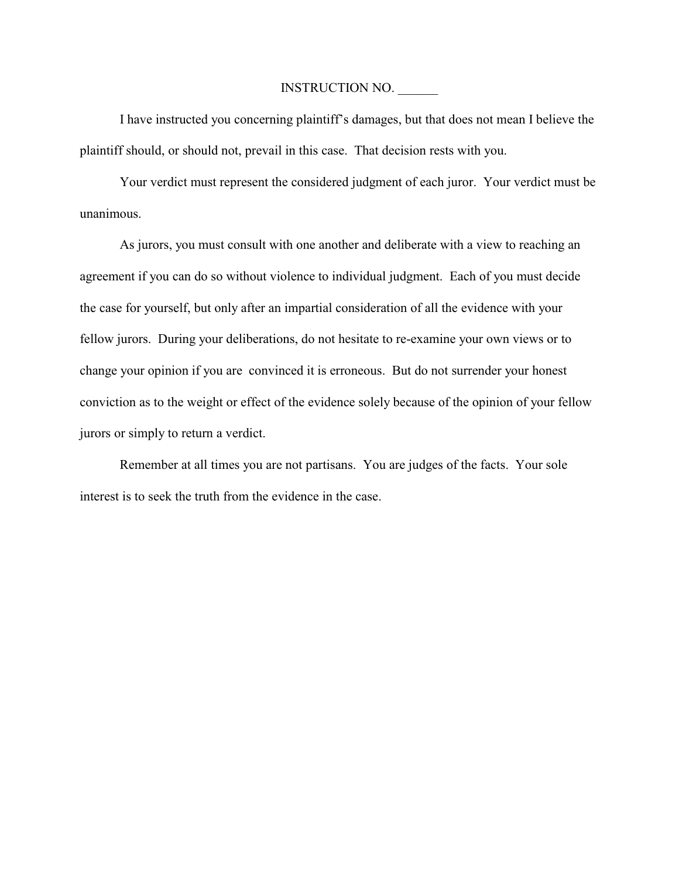I have instructed you concerning plaintiff's damages, but that does not mean I believe the plaintiff should, or should not, prevail in this case. That decision rests with you.

Your verdict must represent the considered judgment of each juror. Your verdict must be unanimous.

As jurors, you must consult with one another and deliberate with a view to reaching an agreement if you can do so without violence to individual judgment. Each of you must decide the case for yourself, but only after an impartial consideration of all the evidence with your fellow jurors. During your deliberations, do not hesitate to re-examine your own views or to change your opinion if you are convinced it is erroneous. But do not surrender your honest conviction as to the weight or effect of the evidence solely because of the opinion of your fellow jurors or simply to return a verdict.

Remember at all times you are not partisans. You are judges of the facts. Your sole interest is to seek the truth from the evidence in the case.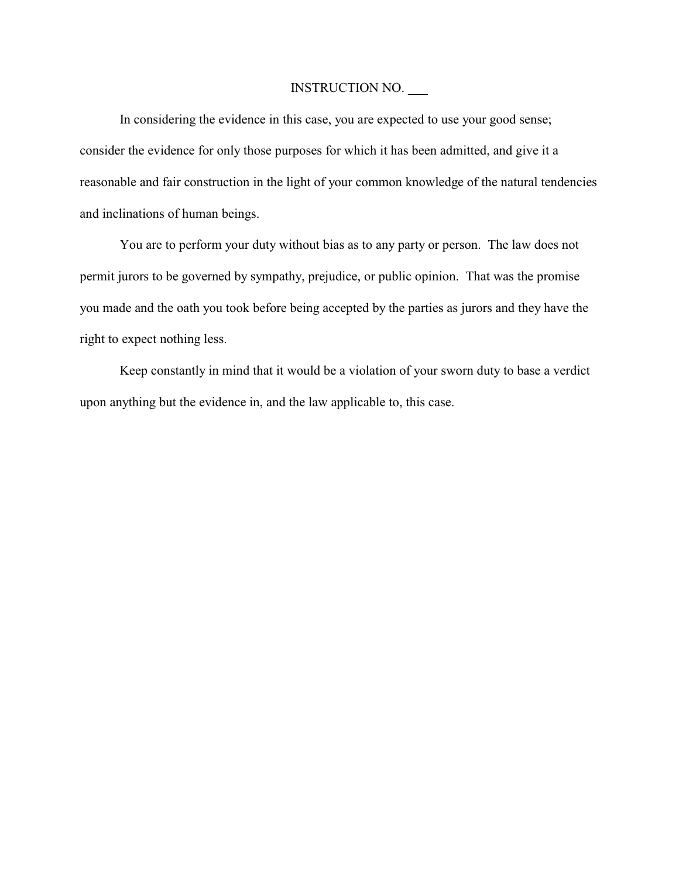In considering the evidence in this case, you are expected to use your good sense; consider the evidence for only those purposes for which it has been admitted, and give it a reasonable and fair construction in the light of your common knowledge of the natural tendencies and inclinations of human beings.

You are to perform your duty without bias as to any party or person. The law does not permit jurors to be governed by sympathy, prejudice, or public opinion. That was the promise you made and the oath you took before being accepted by the parties as jurors and they have the right to expect nothing less.

Keep constantly in mind that it would be a violation of your sworn duty to base a verdict upon anything but the evidence in, and the law applicable to, this case.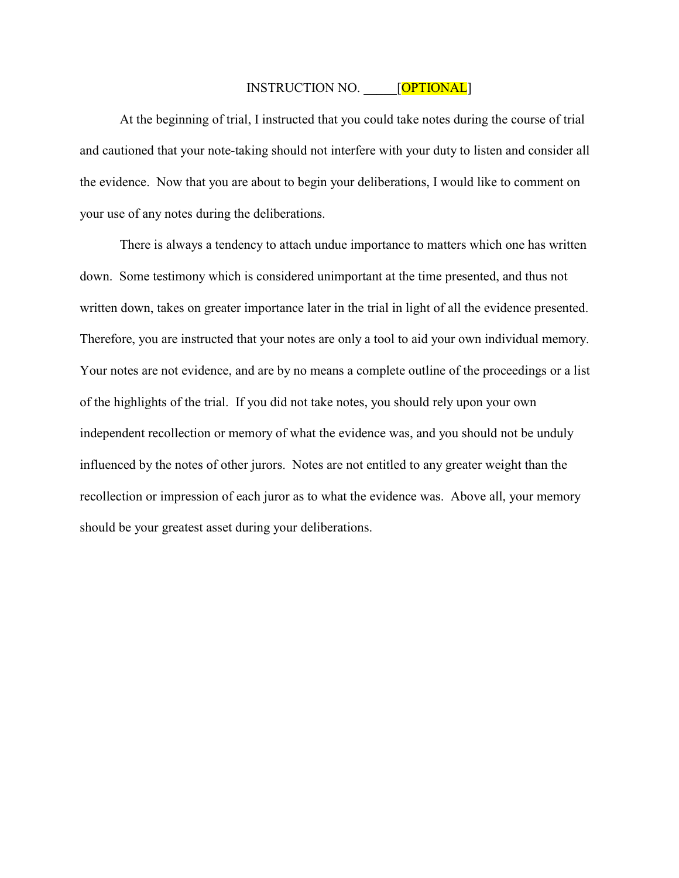### INSTRUCTION NO. [OPTIONAL]

At the beginning of trial, I instructed that you could take notes during the course of trial and cautioned that your note-taking should not interfere with your duty to listen and consider all the evidence. Now that you are about to begin your deliberations, I would like to comment on your use of any notes during the deliberations.

There is always a tendency to attach undue importance to matters which one has written down. Some testimony which is considered unimportant at the time presented, and thus not written down, takes on greater importance later in the trial in light of all the evidence presented. Therefore, you are instructed that your notes are only a tool to aid your own individual memory. Your notes are not evidence, and are by no means a complete outline of the proceedings or a list of the highlights of the trial. If you did not take notes, you should rely upon your own independent recollection or memory of what the evidence was, and you should not be unduly influenced by the notes of other jurors. Notes are not entitled to any greater weight than the recollection or impression of each juror as to what the evidence was. Above all, your memory should be your greatest asset during your deliberations.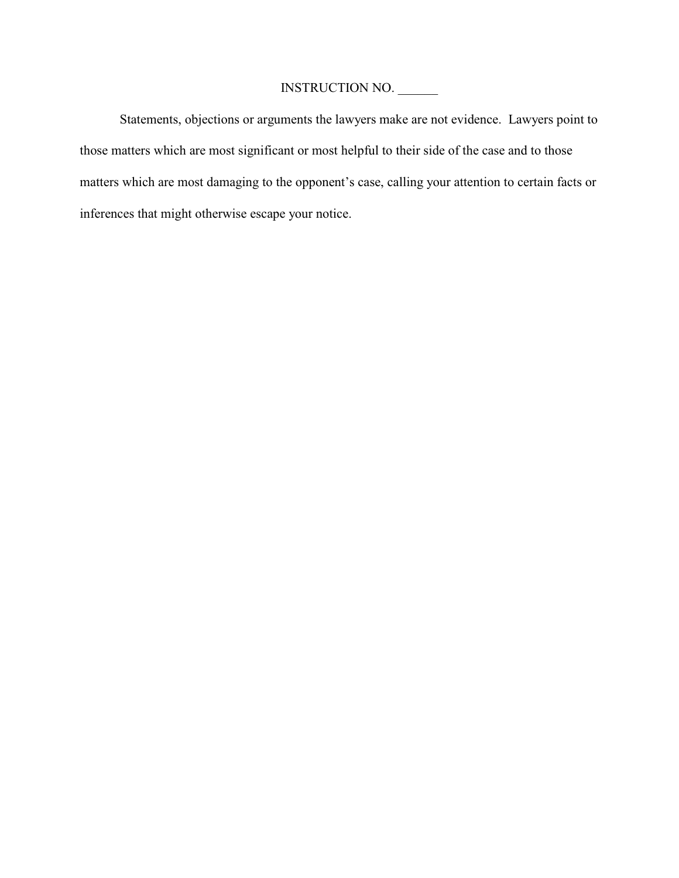Statements, objections or arguments the lawyers make are not evidence. Lawyers point to those matters which are most significant or most helpful to their side of the case and to those matters which are most damaging to the opponent's case, calling your attention to certain facts or inferences that might otherwise escape your notice.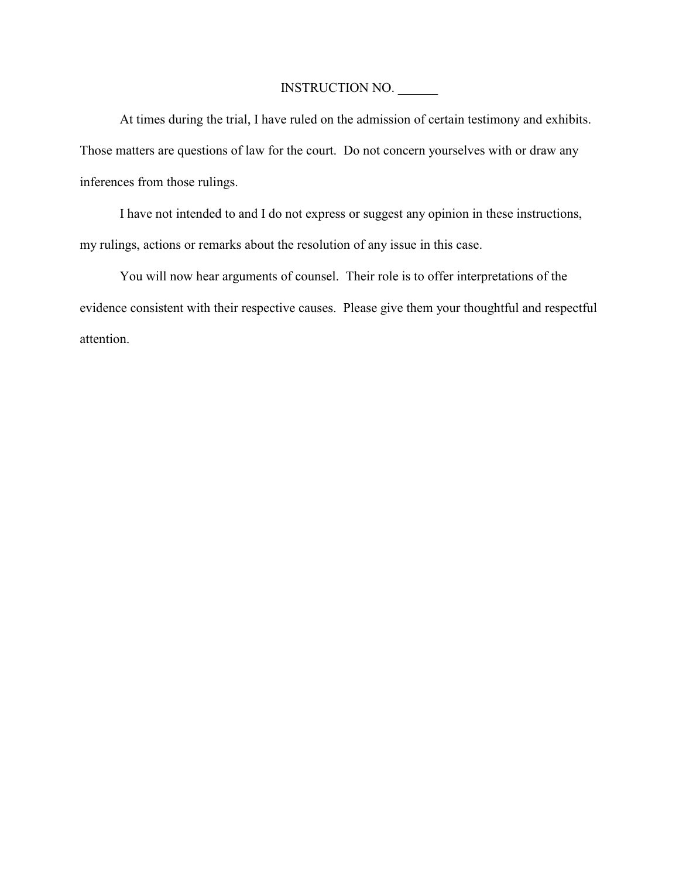At times during the trial, I have ruled on the admission of certain testimony and exhibits. Those matters are questions of law for the court. Do not concern yourselves with or draw any inferences from those rulings.

I have not intended to and I do not express or suggest any opinion in these instructions, my rulings, actions or remarks about the resolution of any issue in this case.

You will now hear arguments of counsel. Their role is to offer interpretations of the evidence consistent with their respective causes. Please give them your thoughtful and respectful attention.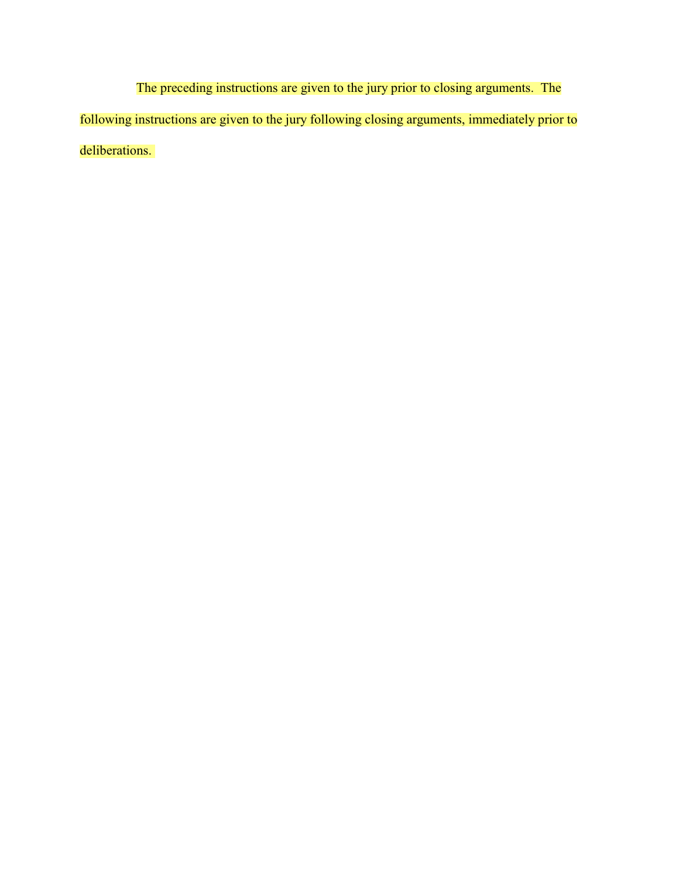The preceding instructions are given to the jury prior to closing arguments. The following instructions are given to the jury following closing arguments, immediately prior to deliberations.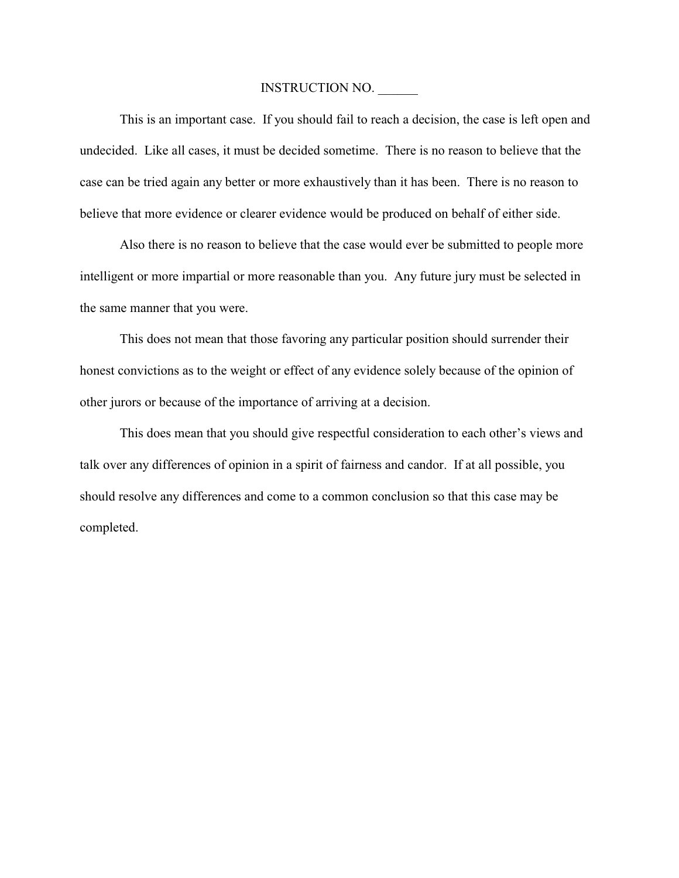This is an important case. If you should fail to reach a decision, the case is left open and undecided. Like all cases, it must be decided sometime. There is no reason to believe that the case can be tried again any better or more exhaustively than it has been. There is no reason to believe that more evidence or clearer evidence would be produced on behalf of either side.

Also there is no reason to believe that the case would ever be submitted to people more intelligent or more impartial or more reasonable than you. Any future jury must be selected in the same manner that you were.

This does not mean that those favoring any particular position should surrender their honest convictions as to the weight or effect of any evidence solely because of the opinion of other jurors or because of the importance of arriving at a decision.

This does mean that you should give respectful consideration to each other's views and talk over any differences of opinion in a spirit of fairness and candor. If at all possible, you should resolve any differences and come to a common conclusion so that this case may be completed.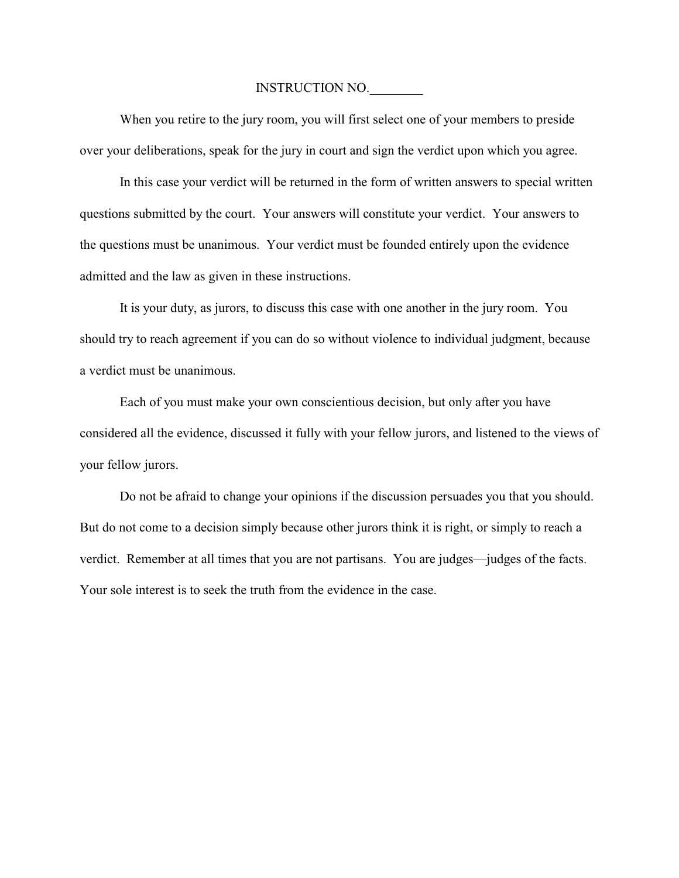When you retire to the jury room, you will first select one of your members to preside over your deliberations, speak for the jury in court and sign the verdict upon which you agree.

In this case your verdict will be returned in the form of written answers to special written questions submitted by the court. Your answers will constitute your verdict. Your answers to the questions must be unanimous. Your verdict must be founded entirely upon the evidence admitted and the law as given in these instructions.

It is your duty, as jurors, to discuss this case with one another in the jury room. You should try to reach agreement if you can do so without violence to individual judgment, because a verdict must be unanimous.

Each of you must make your own conscientious decision, but only after you have considered all the evidence, discussed it fully with your fellow jurors, and listened to the views of your fellow jurors.

Do not be afraid to change your opinions if the discussion persuades you that you should. But do not come to a decision simply because other jurors think it is right, or simply to reach a verdict. Remember at all times that you are not partisans. You are judges—judges of the facts. Your sole interest is to seek the truth from the evidence in the case.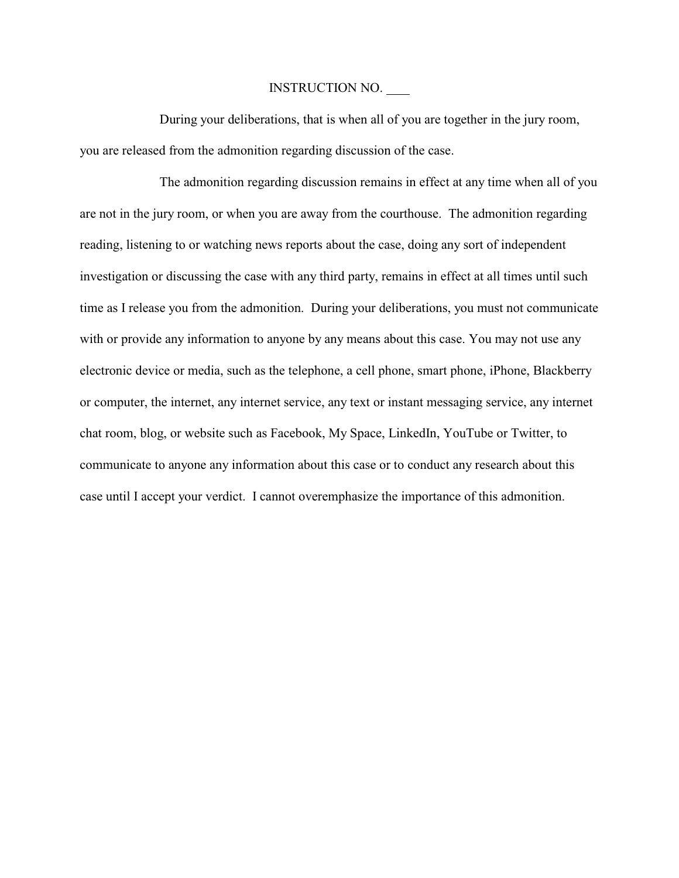During your deliberations, that is when all of you are together in the jury room, you are released from the admonition regarding discussion of the case.

The admonition regarding discussion remains in effect at any time when all of you are not in the jury room, or when you are away from the courthouse. The admonition regarding reading, listening to or watching news reports about the case, doing any sort of independent investigation or discussing the case with any third party, remains in effect at all times until such time as I release you from the admonition. During your deliberations, you must not communicate with or provide any information to anyone by any means about this case. You may not use any electronic device or media, such as the telephone, a cell phone, smart phone, iPhone, Blackberry or computer, the internet, any internet service, any text or instant messaging service, any internet chat room, blog, or website such as Facebook, My Space, LinkedIn, YouTube or Twitter, to communicate to anyone any information about this case or to conduct any research about this case until I accept your verdict. I cannot overemphasize the importance of this admonition.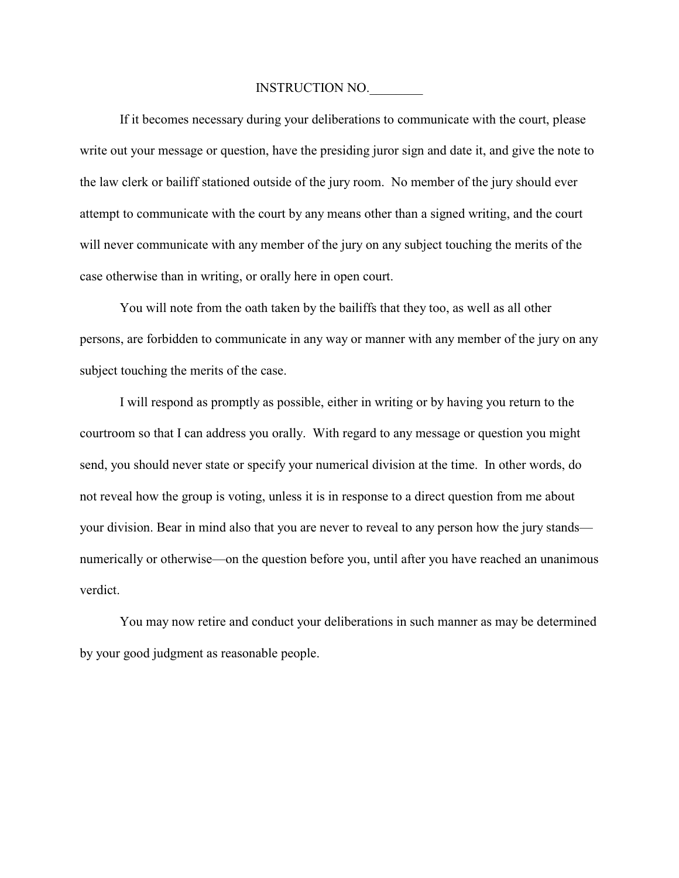If it becomes necessary during your deliberations to communicate with the court, please write out your message or question, have the presiding juror sign and date it, and give the note to the law clerk or bailiff stationed outside of the jury room. No member of the jury should ever attempt to communicate with the court by any means other than a signed writing, and the court will never communicate with any member of the jury on any subject touching the merits of the case otherwise than in writing, or orally here in open court.

You will note from the oath taken by the bailiffs that they too, as well as all other persons, are forbidden to communicate in any way or manner with any member of the jury on any subject touching the merits of the case.

I will respond as promptly as possible, either in writing or by having you return to the courtroom so that I can address you orally. With regard to any message or question you might send, you should never state or specify your numerical division at the time. In other words, do not reveal how the group is voting, unless it is in response to a direct question from me about your division. Bear in mind also that you are never to reveal to any person how the jury stands numerically or otherwise—on the question before you, until after you have reached an unanimous verdict.

You may now retire and conduct your deliberations in such manner as may be determined by your good judgment as reasonable people.